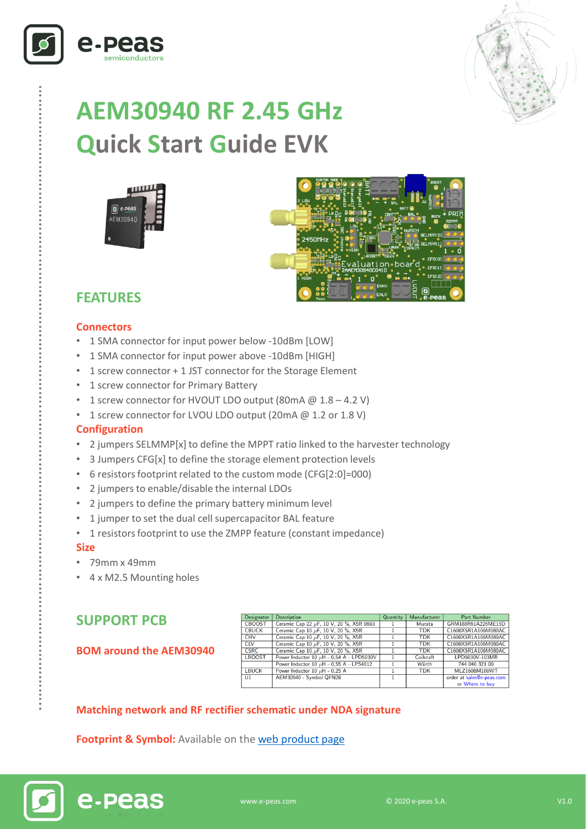



# **AEM30940 RF 2.45 GHz Quick Start Guide EVK**





# **FEATURES**

#### **Connectors**

- 1 SMA connector for input power below -10dBm [LOW]
- 1 SMA connector for input power above -10dBm [HIGH]
- 1 screw connector + 1 JST connector for the Storage Element
- 1 screw connector for Primary Battery
- 1 screw connector for HVOUT LDO output (80mA  $@1.8-4.2$  V)
- 1 screw connector for LVOU LDO output (20mA @ 1.2 or 1.8 V)

#### **Configuration**

- 2 jumpers SELMMP[x] to define the MPPT ratio linked to the harvester technology
- 3 Jumpers CFG[x] to define the storage element protection levels
- 6 resistors footprint related to the custom mode (CFG[2:0]=000)
- 2 jumpers to enable/disable the internal LDOs
- 2 jumpers to define the primary battery minimum level
- 1 jumper to set the dual cell supercapacitor BAL feature
- 1 resistors footprint to use the ZMPP feature (constant impedance)

#### **Size**

……………………………………………………………….…………………………………………………………..

- 79mm x 49mm
- 4 x M2.5 Mounting holes

## **SUPPORT PCB**

e-peas

#### **BOM around the AEM30940**

| Designator    | <b>Description</b>                            | Quantity | Manufacturer | Part Number               |
|---------------|-----------------------------------------------|----------|--------------|---------------------------|
| <b>CBOOST</b> | Ceramic Cap 22 µF, 10 V, 20 %, X5R 0603       |          | Murata       | GRM188R61A226ME15D        |
| <b>CBUCK</b>  | Ceramic Cap 10 µF, 10 V, 20 %, X5R            |          | <b>TDK</b>   | C1608X5R1A106M080AC       |
| <b>CHV</b>    | Ceramic Cap 10 µF, 10 V, 20 %, X5R            |          | <b>TDK</b>   | C1608X5R1A106M080AC       |
| <b>CLV</b>    | Ceramic Cap 10 $\mu$ F, 10 V, 20 %, X5R       |          | <b>TDK</b>   | C1608X5R1A106M080AC       |
| <b>CSRC</b>   | Ceramic Cap 10 µF, 10 V, 20 %, X5R            |          | <b>TDK</b>   | C1608X5R1A106M080AC       |
| <b>LBOOST</b> | Power Inductor 10 $\mu$ H - 0,54 A - LPD5030V |          | Coilcraft    | LPD5030V-103MR            |
|               | Power Inductor 10 $\mu$ H - 0.55 A - LPS4012  |          | Würth        | 744 040 321 00            |
| <b>LBUCK</b>  | Power Inductor 10 $\mu$ H - 0,25 A            |          | <b>TDK</b>   | MLZ1608M100WT             |
| U1.           | AEM30940 - Symbol QFN28                       |          |              | order at sales@e-peas.com |
|               |                                               |          |              | or Where to buy           |

#### **Matching network and RF rectifier schematic under NDA signature**

**Footprint & Symbol :** Available on the web [product](https://e-peas.com/products/energy-harvesting/rf/aem30940-3/#documentation) page